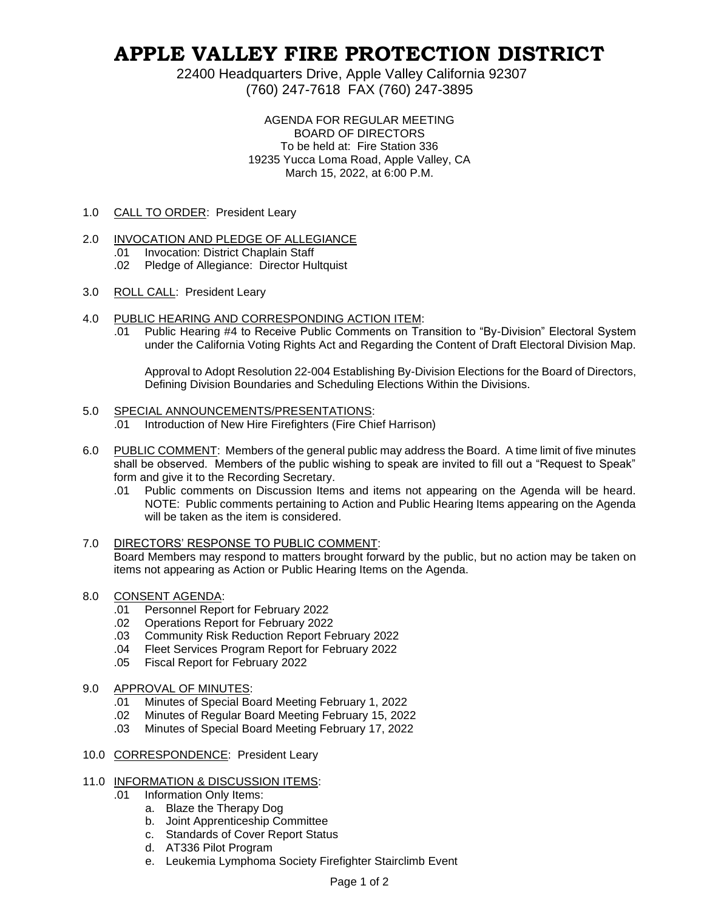# **APPLE VALLEY FIRE PROTECTION DISTRICT**

22400 Headquarters Drive, Apple Valley California 92307 (760) 247-7618 FAX (760) 247-3895

> AGENDA FOR REGULAR MEETING BOARD OF DIRECTORS To be held at: Fire Station 336 19235 Yucca Loma Road, Apple Valley, CA March 15, 2022, at 6:00 P.M.

1.0 CALL TO ORDER: President Leary

## 2.0 INVOCATION AND PLEDGE OF ALLEGIANCE

- .01 Invocation: District Chaplain Staff
- .02 Pledge of Allegiance: Director Hultquist
- 3.0 ROLL CALL: President Leary
- 4.0 PUBLIC HEARING AND CORRESPONDING ACTION ITEM:
	- .01 Public Hearing #4 to Receive Public Comments on Transition to "By-Division" Electoral System under the California Voting Rights Act and Regarding the Content of Draft Electoral Division Map.

Approval to Adopt Resolution 22-004 Establishing By-Division Elections for the Board of Directors, Defining Division Boundaries and Scheduling Elections Within the Divisions.

## 5.0 SPECIAL ANNOUNCEMENTS/PRESENTATIONS:

- .01 Introduction of New Hire Firefighters (Fire Chief Harrison)
- 6.0 PUBLIC COMMENT: Members of the general public may address the Board. A time limit of five minutes shall be observed. Members of the public wishing to speak are invited to fill out a "Request to Speak" form and give it to the Recording Secretary.
	- .01 Public comments on Discussion Items and items not appearing on the Agenda will be heard. NOTE: Public comments pertaining to Action and Public Hearing Items appearing on the Agenda will be taken as the item is considered.

#### 7.0 DIRECTORS' RESPONSE TO PUBLIC COMMENT: Board Members may respond to matters brought forward by the public, but no action may be taken on items not appearing as Action or Public Hearing Items on the Agenda.

# 8.0 CONSENT AGENDA:

- .01 Personnel Report for February 2022
- .02 Operations Report for February 2022
- .03 Community Risk Reduction Report February 2022
- .04 Fleet Services Program Report for February 2022
- .05 Fiscal Report for February 2022

## 9.0 APPROVAL OF MINUTES:

- .01 Minutes of Special Board Meeting February 1, 2022
- .02 Minutes of Regular Board Meeting February 15, 2022
- .03 Minutes of Special Board Meeting February 17, 2022
- 10.0 CORRESPONDENCE: President Leary
- 11.0 INFORMATION & DISCUSSION ITEMS:
	- .01 Information Only Items:
		- a. Blaze the Therapy Dog
		- b. Joint Apprenticeship Committee
		- c. Standards of Cover Report Status
		- d. AT336 Pilot Program
		- e. Leukemia Lymphoma Society Firefighter Stairclimb Event